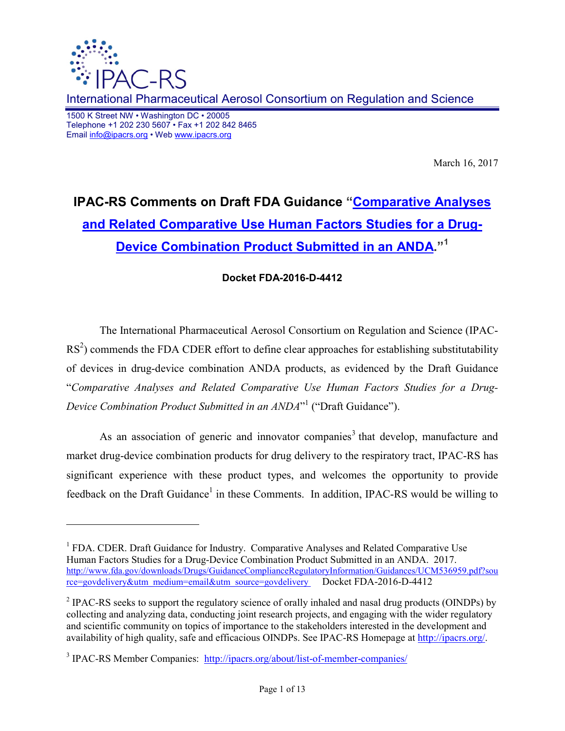

-

International Pharmaceutical Aerosol Consortium on Regulation and Science

1500 K Street NW • Washington DC • 20005 Telephone +1 202 230 5607 • Fax +1 202 842 8465 Email info@ipacrs.org • Web www.ipacrs.org

March 16, 2017

# **IPAC-RS Comments on Draft FDA Guidance "Comparative Analyses and Related Comparative Use Human Factors Studies for a Drug-Device Combination Product Submitted in an ANDA."<sup>1</sup>**

### **Docket FDA-2016-D-4412**

The International Pharmaceutical Aerosol Consortium on Regulation and Science (IPAC- $RS<sup>2</sup>$ ) commends the FDA CDER effort to define clear approaches for establishing substitutability of devices in drug-device combination ANDA products, as evidenced by the Draft Guidance "*Comparative Analyses and Related Comparative Use Human Factors Studies for a Drug-Device Combination Product Submitted in an ANDA*" 1 ("Draft Guidance").

As an association of generic and innovator companies<sup>3</sup> that develop, manufacture and market drug-device combination products for drug delivery to the respiratory tract, IPAC-RS has significant experience with these product types, and welcomes the opportunity to provide feedback on the Draft Guidance<sup>1</sup> in these Comments. In addition, IPAC-RS would be willing to

<sup>&</sup>lt;sup>1</sup> FDA. CDER. Draft Guidance for Industry. Comparative Analyses and Related Comparative Use Human Factors Studies for a Drug-Device Combination Product Submitted in an ANDA. 2017. http://www.fda.gov/downloads/Drugs/GuidanceComplianceRegulatoryInformation/Guidances/UCM536959.pdf?sou rce=govdelivery&utm\_medium=email&utm\_source=govdelivery Docket FDA-2016-D-4412

<sup>&</sup>lt;sup>2</sup> IPAC-RS seeks to support the regulatory science of orally inhaled and nasal drug products (OINDPs) by collecting and analyzing data, conducting joint research projects, and engaging with the wider regulatory and scientific community on topics of importance to the stakeholders interested in the development and availability of high quality, safe and efficacious OINDPs. See IPAC-RS Homepage at http://ipacrs.org/.

<sup>&</sup>lt;sup>3</sup> IPAC-RS Member Companies: http://ipacrs.org/about/list-of-member-companies/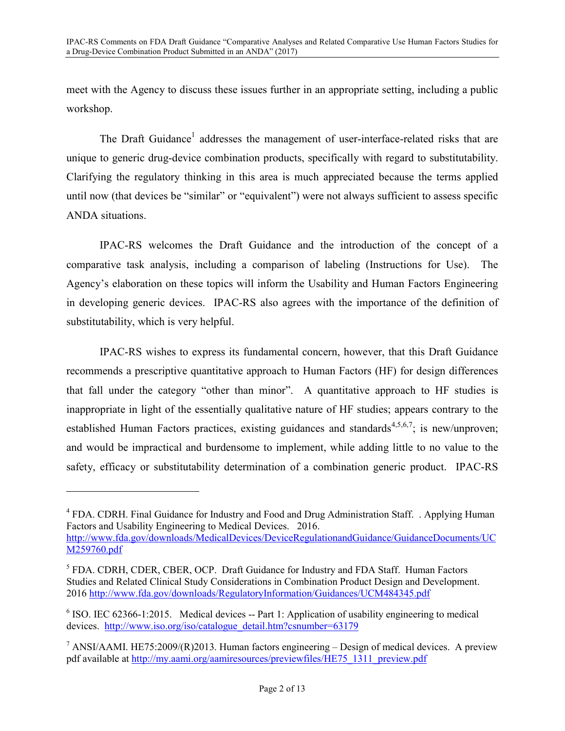meet with the Agency to discuss these issues further in an appropriate setting, including a public workshop.

The Draft Guidance<sup>1</sup> addresses the management of user-interface-related risks that are unique to generic drug-device combination products, specifically with regard to substitutability. Clarifying the regulatory thinking in this area is much appreciated because the terms applied until now (that devices be "similar" or "equivalent") were not always sufficient to assess specific ANDA situations.

IPAC-RS welcomes the Draft Guidance and the introduction of the concept of a comparative task analysis, including a comparison of labeling (Instructions for Use). The Agency's elaboration on these topics will inform the Usability and Human Factors Engineering in developing generic devices. IPAC-RS also agrees with the importance of the definition of substitutability, which is very helpful.

IPAC-RS wishes to express its fundamental concern, however, that this Draft Guidance recommends a prescriptive quantitative approach to Human Factors (HF) for design differences that fall under the category "other than minor". A quantitative approach to HF studies is inappropriate in light of the essentially qualitative nature of HF studies; appears contrary to the established Human Factors practices, existing guidances and standards<sup>4,5,6,7</sup>; is new/unproven; and would be impractical and burdensome to implement, while adding little to no value to the safety, efficacy or substitutability determination of a combination generic product. IPAC-RS

-

<sup>&</sup>lt;sup>4</sup> FDA. CDRH. Final Guidance for Industry and Food and Drug Administration Staff. . Applying Human Factors and Usability Engineering to Medical Devices. 2016.

http://www.fda.gov/downloads/MedicalDevices/DeviceRegulationandGuidance/GuidanceDocuments/UC M259760.pdf

<sup>&</sup>lt;sup>5</sup> FDA. CDRH, CDER, CBER, OCP. Draft Guidance for Industry and FDA Staff. Human Factors Studies and Related Clinical Study Considerations in Combination Product Design and Development. 2016 http://www.fda.gov/downloads/RegulatoryInformation/Guidances/UCM484345.pdf

<sup>&</sup>lt;sup>6</sup> ISO. IEC 62366-1:2015. Medical devices -- Part 1: Application of usability engineering to medical devices. http://www.iso.org/iso/catalogue\_detail.htm?csnumber=63179

<sup>&</sup>lt;sup>7</sup> ANSI/AAMI. HE75:2009/(R)2013. Human factors engineering – Design of medical devices. A preview pdf available at http://my.aami.org/aamiresources/previewfiles/HE75\_1311\_preview.pdf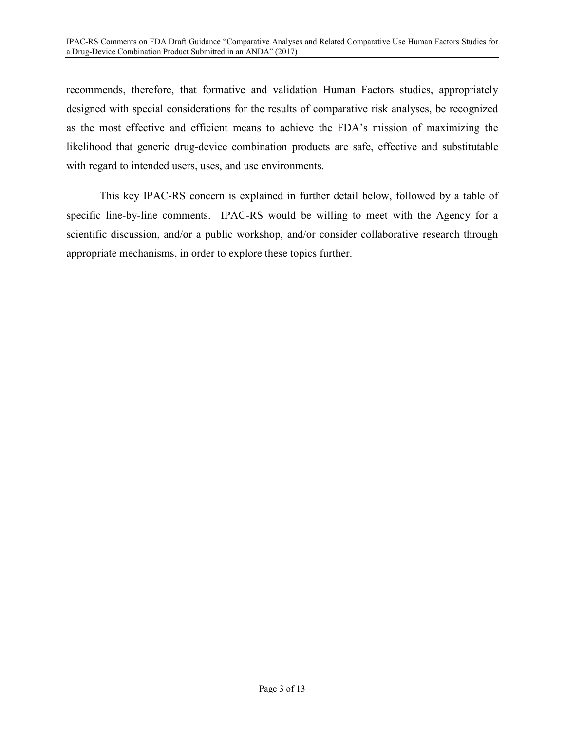recommends, therefore, that formative and validation Human Factors studies, appropriately designed with special considerations for the results of comparative risk analyses, be recognized as the most effective and efficient means to achieve the FDA's mission of maximizing the likelihood that generic drug-device combination products are safe, effective and substitutable with regard to intended users, uses, and use environments.

This key IPAC-RS concern is explained in further detail below, followed by a table of specific line-by-line comments. IPAC-RS would be willing to meet with the Agency for a scientific discussion, and/or a public workshop, and/or consider collaborative research through appropriate mechanisms, in order to explore these topics further.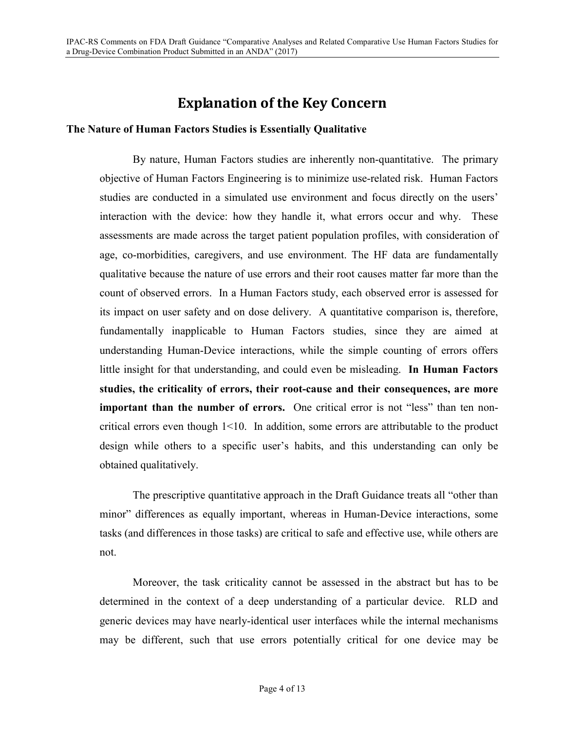# **Explanation of the Key Concern**

#### **The Nature of Human Factors Studies is Essentially Qualitative**

By nature, Human Factors studies are inherently non-quantitative. The primary objective of Human Factors Engineering is to minimize use-related risk. Human Factors studies are conducted in a simulated use environment and focus directly on the users' interaction with the device: how they handle it, what errors occur and why. These assessments are made across the target patient population profiles, with consideration of age, co-morbidities, caregivers, and use environment. The HF data are fundamentally qualitative because the nature of use errors and their root causes matter far more than the count of observed errors. In a Human Factors study, each observed error is assessed for its impact on user safety and on dose delivery. A quantitative comparison is, therefore, fundamentally inapplicable to Human Factors studies, since they are aimed at understanding Human-Device interactions, while the simple counting of errors offers little insight for that understanding, and could even be misleading. **In Human Factors studies, the criticality of errors, their root-cause and their consequences, are more important than the number of errors.** One critical error is not "less" than ten noncritical errors even though  $1 \leq 10$ . In addition, some errors are attributable to the product design while others to a specific user's habits, and this understanding can only be obtained qualitatively.

The prescriptive quantitative approach in the Draft Guidance treats all "other than minor" differences as equally important, whereas in Human-Device interactions, some tasks (and differences in those tasks) are critical to safe and effective use, while others are not.

Moreover, the task criticality cannot be assessed in the abstract but has to be determined in the context of a deep understanding of a particular device. RLD and generic devices may have nearly-identical user interfaces while the internal mechanisms may be different, such that use errors potentially critical for one device may be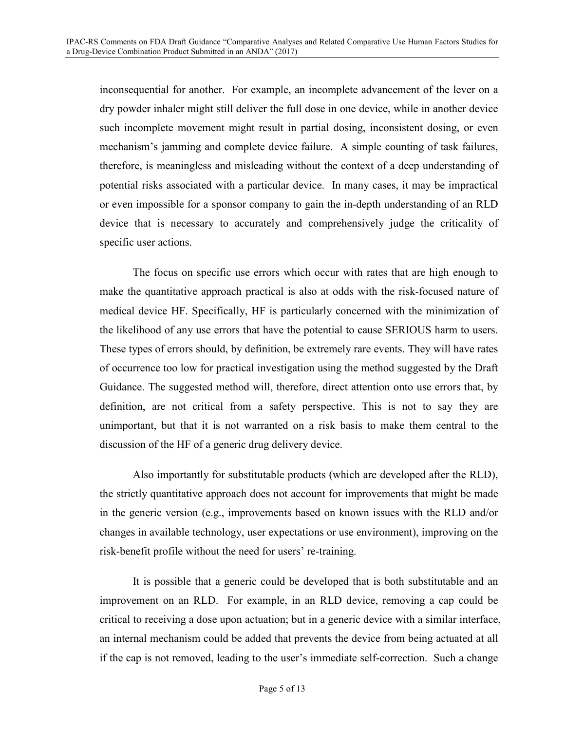inconsequential for another. For example, an incomplete advancement of the lever on a dry powder inhaler might still deliver the full dose in one device, while in another device such incomplete movement might result in partial dosing, inconsistent dosing, or even mechanism's jamming and complete device failure. A simple counting of task failures, therefore, is meaningless and misleading without the context of a deep understanding of potential risks associated with a particular device. In many cases, it may be impractical or even impossible for a sponsor company to gain the in-depth understanding of an RLD device that is necessary to accurately and comprehensively judge the criticality of specific user actions.

The focus on specific use errors which occur with rates that are high enough to make the quantitative approach practical is also at odds with the risk-focused nature of medical device HF. Specifically, HF is particularly concerned with the minimization of the likelihood of any use errors that have the potential to cause SERIOUS harm to users. These types of errors should, by definition, be extremely rare events. They will have rates of occurrence too low for practical investigation using the method suggested by the Draft Guidance. The suggested method will, therefore, direct attention onto use errors that, by definition, are not critical from a safety perspective. This is not to say they are unimportant, but that it is not warranted on a risk basis to make them central to the discussion of the HF of a generic drug delivery device.

Also importantly for substitutable products (which are developed after the RLD), the strictly quantitative approach does not account for improvements that might be made in the generic version (e.g., improvements based on known issues with the RLD and/or changes in available technology, user expectations or use environment), improving on the risk-benefit profile without the need for users' re-training.

It is possible that a generic could be developed that is both substitutable and an improvement on an RLD. For example, in an RLD device, removing a cap could be critical to receiving a dose upon actuation; but in a generic device with a similar interface, an internal mechanism could be added that prevents the device from being actuated at all if the cap is not removed, leading to the user's immediate self-correction. Such a change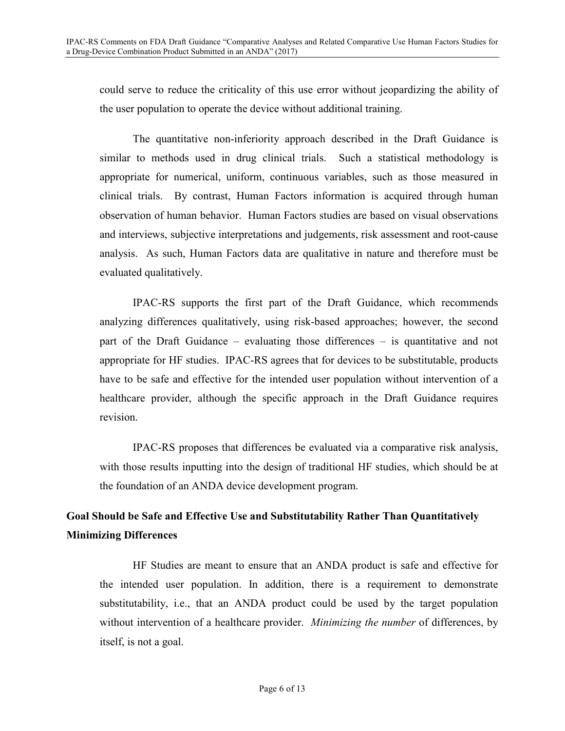could serve to reduce the criticality of this use error without jeopardizing the ability of the user population to operate the device without additional training.

The quantitative non-inferiority approach described in the Draft Guidance is similar to methods used in drug clinical trials. Such a statistical methodology is appropriate for numerical, uniform, continuous variables, such as those measured in clinical trials. By contrast, Human Factors information is acquired through human observation of human behavior. Human Factors studies are based on visual observations and interviews, subjective interpretations and judgements, risk assessment and root-cause analysis. As such, Human Factors data are qualitative in nature and therefore must be evaluated qualitatively.

IPAC-RS supports the first part of the Draft Guidance, which recommends analyzing differences qualitatively, using risk-based approaches; however, the second part of the Draft Guidance – evaluating those differences – is quantitative and not appropriate for HF studies. IPAC-RS agrees that for devices to be substitutable, products have to be safe and effective for the intended user population without intervention of a healthcare provider, although the specific approach in the Draft Guidance requires revision.

IPAC-RS proposes that differences be evaluated via a comparative risk analysis, with those results inputting into the design of traditional HF studies, which should be at the foundation of an ANDA device development program.

### **Goal Should be Safe and Effective Use and Substitutability Rather Than Quantitatively Minimizing Differences**

HF Studies are meant to ensure that an ANDA product is safe and effective for the intended user population. In addition, there is a requirement to demonstrate substitutability, i.e., that an ANDA product could be used by the target population without intervention of a healthcare provider. *Minimizing the number* of differences, by itself, is not a goal.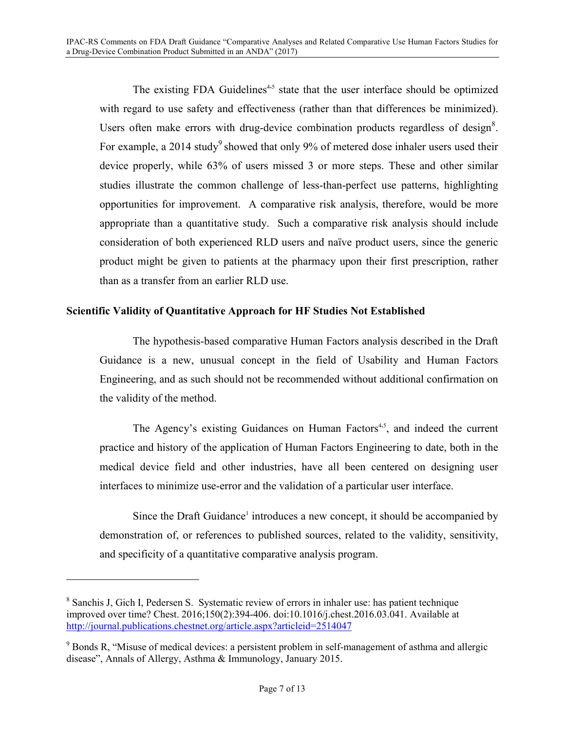The existing FDA Guidelines<sup>4,5</sup> state that the user interface should be optimized with regard to use safety and effectiveness (rather than that differences be minimized). Users often make errors with drug-device combination products regardless of design $8$ . For example, a 2014 study<sup>9</sup> showed that only 9% of metered dose inhaler users used their device properly, while 63% of users missed 3 or more steps. These and other similar studies illustrate the common challenge of less-than-perfect use patterns, highlighting opportunities for improvement. A comparative risk analysis, therefore, would be more appropriate than a quantitative study. Such a comparative risk analysis should include consideration of both experienced RLD users and naïve product users, since the generic product might be given to patients at the pharmacy upon their first prescription, rather than as a transfer from an earlier RLD use.

### **Scientific Validity of Quantitative Approach for HF Studies Not Established**

The hypothesis-based comparative Human Factors analysis described in the Draft Guidance is a new, unusual concept in the field of Usability and Human Factors Engineering, and as such should not be recommended without additional confirmation on the validity of the method.

The Agency's existing Guidances on Human Factors<sup>4,5</sup>, and indeed the current practice and history of the application of Human Factors Engineering to date, both in the medical device field and other industries, have all been centered on designing user interfaces to minimize use-error and the validation of a particular user interface.

Since the Draft Guidance<sup>1</sup> introduces a new concept, it should be accompanied by demonstration of, or references to published sources, related to the validity, sensitivity, and specificity of a quantitative comparative analysis program.

-

<sup>&</sup>lt;sup>8</sup> Sanchis J, Gich I, Pedersen S. Systematic review of errors in inhaler use: has patient technique improved over time? Chest. 2016;150(2):394-406. doi:10.1016/j.chest.2016.03.041. Available at http://journal.publications.chestnet.org/article.aspx?articleid=2514047

<sup>&</sup>lt;sup>9</sup> Bonds R, "Misuse of medical devices: a persistent problem in self-management of asthma and allergic disease", Annals of Allergy, Asthma & Immunology, January 2015.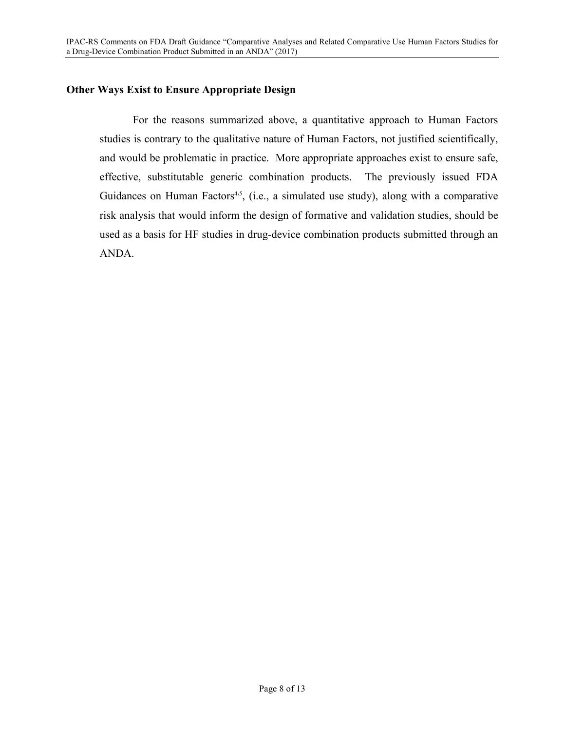### **Other Ways Exist to Ensure Appropriate Design**

For the reasons summarized above, a quantitative approach to Human Factors studies is contrary to the qualitative nature of Human Factors, not justified scientifically, and would be problematic in practice. More appropriate approaches exist to ensure safe, effective, substitutable generic combination products. The previously issued FDA Guidances on Human Factors<sup>4,5</sup>, (i.e., a simulated use study), along with a comparative risk analysis that would inform the design of formative and validation studies, should be used as a basis for HF studies in drug-device combination products submitted through an ANDA.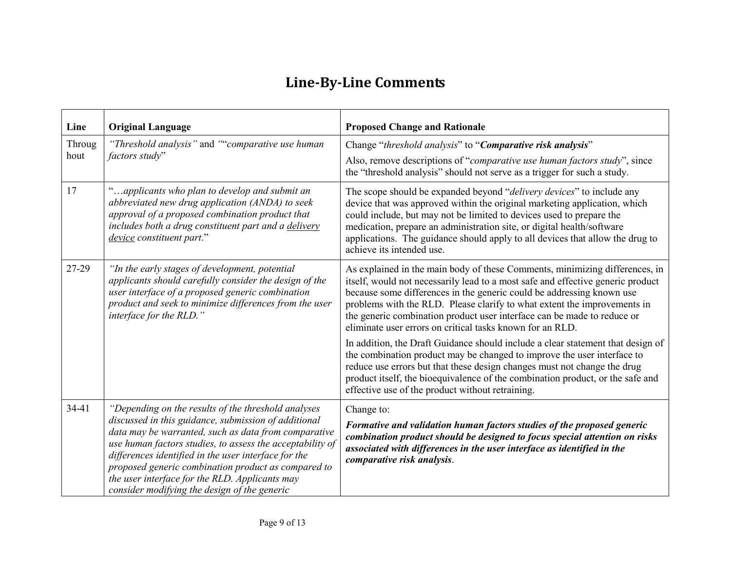# **Line-By-Line Comments**

| Line           | <b>Original Language</b>                                                                                                                                                                                                                                                                                                                                                                                                                          | <b>Proposed Change and Rationale</b>                                                                                                                                                                                                                                                                                                                                                                                                                        |
|----------------|---------------------------------------------------------------------------------------------------------------------------------------------------------------------------------------------------------------------------------------------------------------------------------------------------------------------------------------------------------------------------------------------------------------------------------------------------|-------------------------------------------------------------------------------------------------------------------------------------------------------------------------------------------------------------------------------------------------------------------------------------------------------------------------------------------------------------------------------------------------------------------------------------------------------------|
| Throug<br>hout | "Threshold analysis" and ""comparative use human<br>factors study"                                                                                                                                                                                                                                                                                                                                                                                | Change "threshold analysis" to "Comparative risk analysis"                                                                                                                                                                                                                                                                                                                                                                                                  |
|                |                                                                                                                                                                                                                                                                                                                                                                                                                                                   | Also, remove descriptions of "comparative use human factors study", since<br>the "threshold analysis" should not serve as a trigger for such a study.                                                                                                                                                                                                                                                                                                       |
| 17             | "applicants who plan to develop and submit an<br>abbreviated new drug application (ANDA) to seek<br>approval of a proposed combination product that<br>includes both a drug constituent part and a delivery<br>device constituent part."                                                                                                                                                                                                          | The scope should be expanded beyond "delivery devices" to include any<br>device that was approved within the original marketing application, which<br>could include, but may not be limited to devices used to prepare the<br>medication, prepare an administration site, or digital health/software<br>applications. The guidance should apply to all devices that allow the drug to<br>achieve its intended use.                                          |
| 27-29          | "In the early stages of development, potential<br>applicants should carefully consider the design of the<br>user interface of a proposed generic combination<br>product and seek to minimize differences from the user<br>interface for the RLD."                                                                                                                                                                                                 | As explained in the main body of these Comments, minimizing differences, in<br>itself, would not necessarily lead to a most safe and effective generic product<br>because some differences in the generic could be addressing known use<br>problems with the RLD. Please clarify to what extent the improvements in<br>the generic combination product user interface can be made to reduce or<br>eliminate user errors on critical tasks known for an RLD. |
|                |                                                                                                                                                                                                                                                                                                                                                                                                                                                   | In addition, the Draft Guidance should include a clear statement that design of<br>the combination product may be changed to improve the user interface to<br>reduce use errors but that these design changes must not change the drug<br>product itself, the bioequivalence of the combination product, or the safe and<br>effective use of the product without retraining.                                                                                |
| 34-41          | "Depending on the results of the threshold analyses<br>discussed in this guidance, submission of additional<br>data may be warranted, such as data from comparative<br>use human factors studies, to assess the acceptability of<br>differences identified in the user interface for the<br>proposed generic combination product as compared to<br>the user interface for the RLD. Applicants may<br>consider modifying the design of the generic | Change to:<br>Formative and validation human factors studies of the proposed generic<br>combination product should be designed to focus special attention on risks<br>associated with differences in the user interface as identified in the<br>comparative risk analysis.                                                                                                                                                                                  |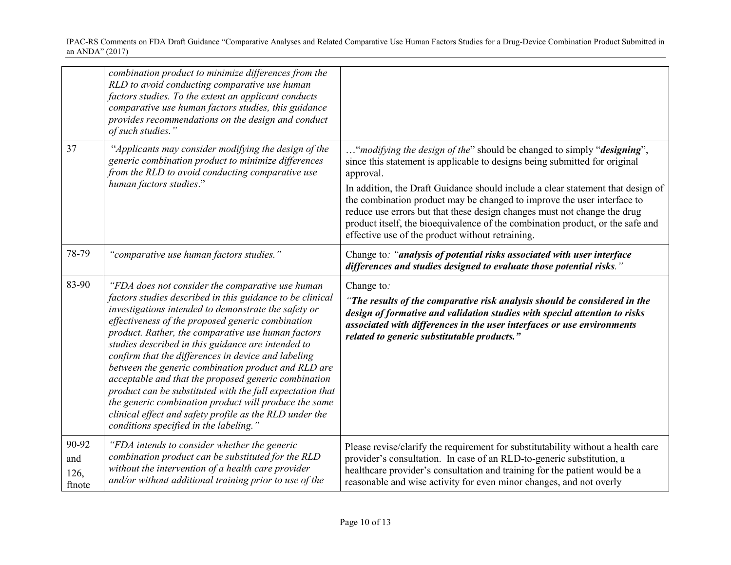|                                | combination product to minimize differences from the<br>RLD to avoid conducting comparative use human<br>factors studies. To the extent an applicant conducts<br>comparative use human factors studies, this guidance<br>provides recommendations on the design and conduct<br>of such studies."                                                                                                                                                                                                                                                                                                                                                                                                                                        |                                                                                                                                                                                                                                                                                                                                                                              |
|--------------------------------|-----------------------------------------------------------------------------------------------------------------------------------------------------------------------------------------------------------------------------------------------------------------------------------------------------------------------------------------------------------------------------------------------------------------------------------------------------------------------------------------------------------------------------------------------------------------------------------------------------------------------------------------------------------------------------------------------------------------------------------------|------------------------------------------------------------------------------------------------------------------------------------------------------------------------------------------------------------------------------------------------------------------------------------------------------------------------------------------------------------------------------|
| 37                             | "Applicants may consider modifying the design of the<br>generic combination product to minimize differences<br>from the RLD to avoid conducting comparative use<br>human factors studies."                                                                                                                                                                                                                                                                                                                                                                                                                                                                                                                                              | " <i>modifying the design of the</i> " should be changed to simply " <i>designing</i> ",<br>since this statement is applicable to designs being submitted for original<br>approval.                                                                                                                                                                                          |
|                                |                                                                                                                                                                                                                                                                                                                                                                                                                                                                                                                                                                                                                                                                                                                                         | In addition, the Draft Guidance should include a clear statement that design of<br>the combination product may be changed to improve the user interface to<br>reduce use errors but that these design changes must not change the drug<br>product itself, the bioequivalence of the combination product, or the safe and<br>effective use of the product without retraining. |
| 78-79                          | "comparative use human factors studies."                                                                                                                                                                                                                                                                                                                                                                                                                                                                                                                                                                                                                                                                                                | Change to: "analysis of potential risks associated with user interface<br>differences and studies designed to evaluate those potential risks.'                                                                                                                                                                                                                               |
| 83-90                          | "FDA does not consider the comparative use human<br>factors studies described in this guidance to be clinical<br>investigations intended to demonstrate the safety or<br>effectiveness of the proposed generic combination<br>product. Rather, the comparative use human factors<br>studies described in this guidance are intended to<br>confirm that the differences in device and labeling<br>between the generic combination product and RLD are<br>acceptable and that the proposed generic combination<br>product can be substituted with the full expectation that<br>the generic combination product will produce the same<br>clinical effect and safety profile as the RLD under the<br>conditions specified in the labeling." | Change to:<br>"The results of the comparative risk analysis should be considered in the<br>design of formative and validation studies with special attention to risks<br>associated with differences in the user interfaces or use environments<br>related to generic substitutable products."                                                                               |
| 90-92<br>and<br>126,<br>ftnote | "FDA intends to consider whether the generic<br>combination product can be substituted for the RLD<br>without the intervention of a health care provider<br>and/or without additional training prior to use of the                                                                                                                                                                                                                                                                                                                                                                                                                                                                                                                      | Please revise/clarify the requirement for substitutability without a health care<br>provider's consultation. In case of an RLD-to-generic substitution, a<br>healthcare provider's consultation and training for the patient would be a<br>reasonable and wise activity for even minor changes, and not overly                                                               |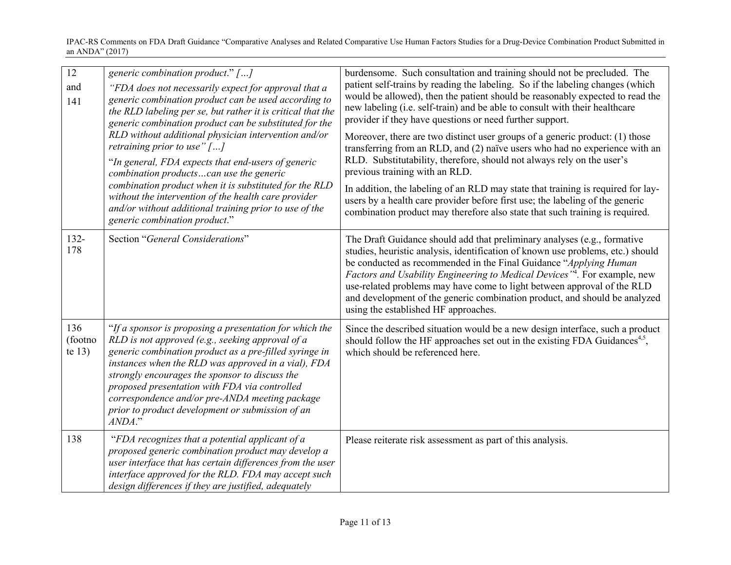| $\overline{12}$<br>and<br>141 | generic combination product." []<br>"FDA does not necessarily expect for approval that a<br>generic combination product can be used according to<br>the RLD labeling per se, but rather it is critical that the<br>generic combination product can be substituted for the<br>RLD without additional physician intervention and/or<br>retraining prior to use" $[]$<br>"In general, FDA expects that end-users of generic<br>combination productscan use the generic<br>combination product when it is substituted for the RLD<br>without the intervention of the health care provider<br>and/or without additional training prior to use of the<br>generic combination product." | burdensome. Such consultation and training should not be precluded. The<br>patient self-trains by reading the labeling. So if the labeling changes (which<br>would be allowed), then the patient should be reasonably expected to read the<br>new labeling (i.e. self-train) and be able to consult with their healthcare<br>provider if they have questions or need further support.<br>Moreover, there are two distinct user groups of a generic product: (1) those<br>transferring from an RLD, and (2) naïve users who had no experience with an<br>RLD. Substitutability, therefore, should not always rely on the user's<br>previous training with an RLD.<br>In addition, the labeling of an RLD may state that training is required for lay-<br>users by a health care provider before first use; the labeling of the generic<br>combination product may therefore also state that such training is required. |
|-------------------------------|----------------------------------------------------------------------------------------------------------------------------------------------------------------------------------------------------------------------------------------------------------------------------------------------------------------------------------------------------------------------------------------------------------------------------------------------------------------------------------------------------------------------------------------------------------------------------------------------------------------------------------------------------------------------------------|-----------------------------------------------------------------------------------------------------------------------------------------------------------------------------------------------------------------------------------------------------------------------------------------------------------------------------------------------------------------------------------------------------------------------------------------------------------------------------------------------------------------------------------------------------------------------------------------------------------------------------------------------------------------------------------------------------------------------------------------------------------------------------------------------------------------------------------------------------------------------------------------------------------------------|
| $132 -$<br>178                | Section "General Considerations"                                                                                                                                                                                                                                                                                                                                                                                                                                                                                                                                                                                                                                                 | The Draft Guidance should add that preliminary analyses (e.g., formative<br>studies, heuristic analysis, identification of known use problems, etc.) should<br>be conducted as recommended in the Final Guidance "Applying Human<br><i>Factors and Usability Engineering to Medical Devices</i> <sup>"4</sup> . For example, new<br>use-related problems may have come to light between approval of the RLD<br>and development of the generic combination product, and should be analyzed<br>using the established HF approaches.                                                                                                                                                                                                                                                                                                                                                                                     |
| 136<br>(footno<br>te $13)$    | "If a sponsor is proposing a presentation for which the<br>RLD is not approved (e.g., seeking approval of a<br>generic combination product as a pre-filled syringe in<br>instances when the RLD was approved in a vial), FDA<br>strongly encourages the sponsor to discuss the<br>proposed presentation with FDA via controlled<br>correspondence and/or pre-ANDA meeting package<br>prior to product development or submission of an<br>ANDA."                                                                                                                                                                                                                                  | Since the described situation would be a new design interface, such a product<br>should follow the HF approaches set out in the existing FDA Guidances <sup>4,5</sup> ,<br>which should be referenced here.                                                                                                                                                                                                                                                                                                                                                                                                                                                                                                                                                                                                                                                                                                           |
| 138                           | "FDA recognizes that a potential applicant of a<br>proposed generic combination product may develop a<br>user interface that has certain differences from the user<br>interface approved for the RLD. FDA may accept such<br>design differences if they are justified, adequately                                                                                                                                                                                                                                                                                                                                                                                                | Please reiterate risk assessment as part of this analysis.                                                                                                                                                                                                                                                                                                                                                                                                                                                                                                                                                                                                                                                                                                                                                                                                                                                            |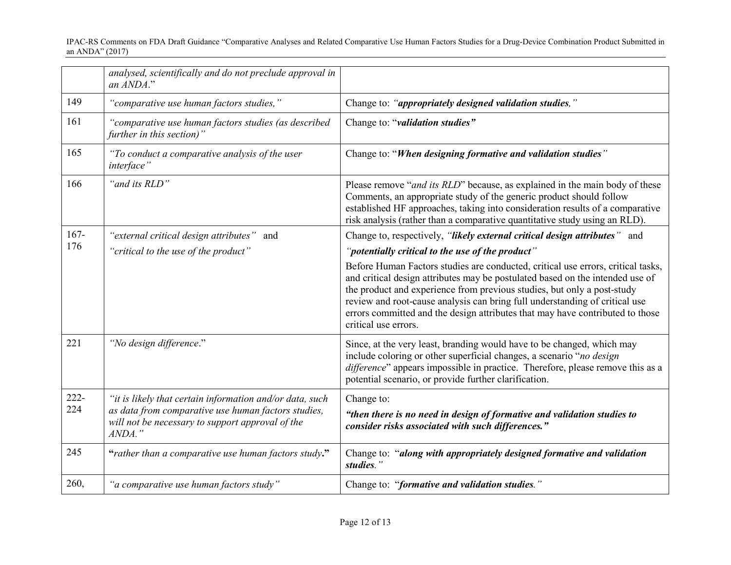|                | analysed, scientifically and do not preclude approval in<br>an ANDA."                                                                                                            |                                                                                                                                                                                                                                                                                                                                                                                                                                      |
|----------------|----------------------------------------------------------------------------------------------------------------------------------------------------------------------------------|--------------------------------------------------------------------------------------------------------------------------------------------------------------------------------------------------------------------------------------------------------------------------------------------------------------------------------------------------------------------------------------------------------------------------------------|
| 149            | "comparative use human factors studies,"                                                                                                                                         | Change to: "appropriately designed validation studies,"                                                                                                                                                                                                                                                                                                                                                                              |
| 161            | "comparative use human factors studies (as described<br>further in this section)"                                                                                                | Change to: "validation studies"                                                                                                                                                                                                                                                                                                                                                                                                      |
| 165            | "To conduct a comparative analysis of the user<br>interface"                                                                                                                     | Change to: "When designing formative and validation studies"                                                                                                                                                                                                                                                                                                                                                                         |
| 166            | "and its RLD"                                                                                                                                                                    | Please remove "and its RLD" because, as explained in the main body of these<br>Comments, an appropriate study of the generic product should follow<br>established HF approaches, taking into consideration results of a comparative<br>risk analysis (rather than a comparative quantitative study using an RLD).                                                                                                                    |
| $167 -$<br>176 | "external critical design attributes" and                                                                                                                                        | Change to, respectively, "likely external critical design attributes" and                                                                                                                                                                                                                                                                                                                                                            |
|                | "critical to the use of the product"                                                                                                                                             | "potentially critical to the use of the product"                                                                                                                                                                                                                                                                                                                                                                                     |
|                |                                                                                                                                                                                  | Before Human Factors studies are conducted, critical use errors, critical tasks,<br>and critical design attributes may be postulated based on the intended use of<br>the product and experience from previous studies, but only a post-study<br>review and root-cause analysis can bring full understanding of critical use<br>errors committed and the design attributes that may have contributed to those<br>critical use errors. |
| 221            | "No design difference."                                                                                                                                                          | Since, at the very least, branding would have to be changed, which may<br>include coloring or other superficial changes, a scenario "no design<br>difference" appears impossible in practice. Therefore, please remove this as a<br>potential scenario, or provide further clarification.                                                                                                                                            |
| 222-<br>224    | "it is likely that certain information and/or data, such<br>as data from comparative use human factors studies,<br>will not be necessary to support approval of the<br>$ANDA.$ " | Change to:<br>"then there is no need in design of formative and validation studies to<br>consider risks associated with such differences."                                                                                                                                                                                                                                                                                           |
| 245            | "rather than a comparative use human factors study."                                                                                                                             | Change to: "along with appropriately designed formative and validation<br>studies."                                                                                                                                                                                                                                                                                                                                                  |
| 260,           | "a comparative use human factors study"                                                                                                                                          | Change to: "formative and validation studies."                                                                                                                                                                                                                                                                                                                                                                                       |